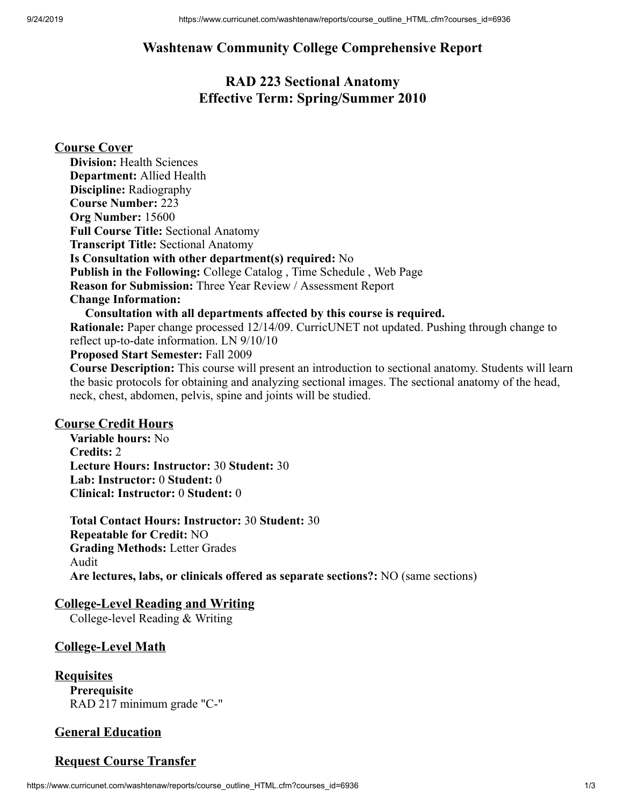# **Washtenaw Community College Comprehensive Report**

# **RAD 223 Sectional Anatomy Effective Term: Spring/Summer 2010**

### **Course Cover**

**Division:** Health Sciences **Department:** Allied Health **Discipline:** Radiography **Course Number:** 223 **Org Number:** 15600 **Full Course Title:** Sectional Anatomy **Transcript Title:** Sectional Anatomy **Is Consultation with other department(s) required:** No **Publish in the Following:** College Catalog , Time Schedule , Web Page **Reason for Submission:** Three Year Review / Assessment Report **Change Information: Consultation with all departments affected by this course is required. Rationale:** Paper change processed 12/14/09. CurricUNET not updated. Pushing through change to reflect up-to-date information. LN 9/10/10

**Proposed Start Semester:** Fall 2009

**Course Description:** This course will present an introduction to sectional anatomy. Students will learn the basic protocols for obtaining and analyzing sectional images. The sectional anatomy of the head, neck, chest, abdomen, pelvis, spine and joints will be studied.

#### **Course Credit Hours**

**Variable hours:** No **Credits:** 2 **Lecture Hours: Instructor:** 30 **Student:** 30 **Lab: Instructor:** 0 **Student:** 0 **Clinical: Instructor:** 0 **Student:** 0

**Total Contact Hours: Instructor:** 30 **Student:** 30 **Repeatable for Credit:** NO **Grading Methods:** Letter Grades Audit **Are lectures, labs, or clinicals offered as separate sections?:** NO (same sections)

## **College-Level Reading and Writing**

College-level Reading & Writing

### **College-Level Math**

**Requisites Prerequisite** RAD 217 minimum grade "C-"

## **General Education**

### **Request Course Transfer**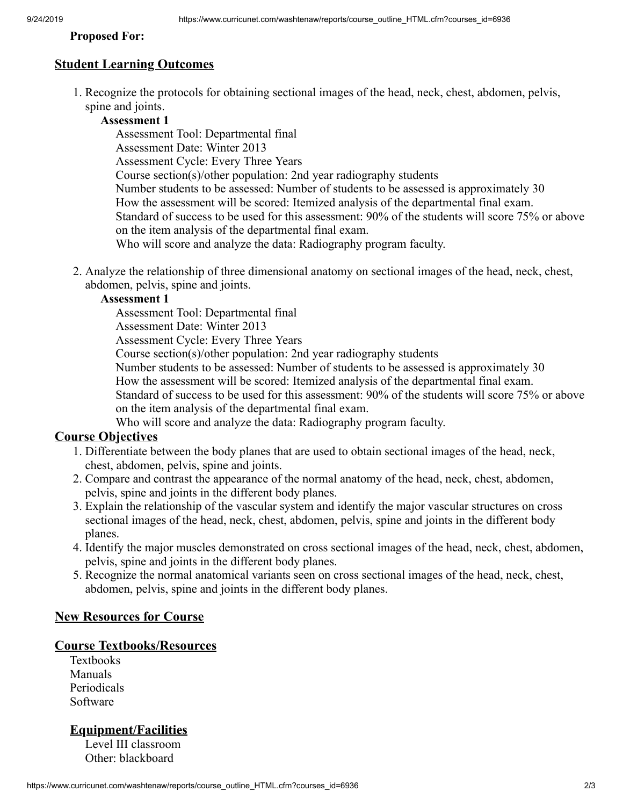#### **Proposed For:**

## **Student Learning Outcomes**

1. Recognize the protocols for obtaining sectional images of the head, neck, chest, abdomen, pelvis, spine and joints.

## **Assessment 1**

Assessment Tool: Departmental final Assessment Date: Winter 2013 Assessment Cycle: Every Three Years Course section(s)/other population: 2nd year radiography students Number students to be assessed: Number of students to be assessed is approximately 30 How the assessment will be scored: Itemized analysis of the departmental final exam. Standard of success to be used for this assessment: 90% of the students will score 75% or above on the item analysis of the departmental final exam. Who will score and analyze the data: Radiography program faculty.

2. Analyze the relationship of three dimensional anatomy on sectional images of the head, neck, chest, abdomen, pelvis, spine and joints.

#### **Assessment 1**

Assessment Tool: Departmental final

Assessment Date: Winter 2013

Assessment Cycle: Every Three Years

Course section(s)/other population: 2nd year radiography students

Number students to be assessed: Number of students to be assessed is approximately 30

How the assessment will be scored: Itemized analysis of the departmental final exam.

Standard of success to be used for this assessment: 90% of the students will score 75% or above on the item analysis of the departmental final exam.

Who will score and analyze the data: Radiography program faculty.

### **Course Objectives**

- 1. Differentiate between the body planes that are used to obtain sectional images of the head, neck, chest, abdomen, pelvis, spine and joints.
- 2. Compare and contrast the appearance of the normal anatomy of the head, neck, chest, abdomen, pelvis, spine and joints in the different body planes.
- 3. Explain the relationship of the vascular system and identify the major vascular structures on cross sectional images of the head, neck, chest, abdomen, pelvis, spine and joints in the different body planes.
- 4. Identify the major muscles demonstrated on cross sectional images of the head, neck, chest, abdomen, pelvis, spine and joints in the different body planes.
- 5. Recognize the normal anatomical variants seen on cross sectional images of the head, neck, chest, abdomen, pelvis, spine and joints in the different body planes.

### **New Resources for Course**

### **Course Textbooks/Resources**

Textbooks Manuals Periodicals Software

## **Equipment/Facilities**

Level III classroom Other: blackboard